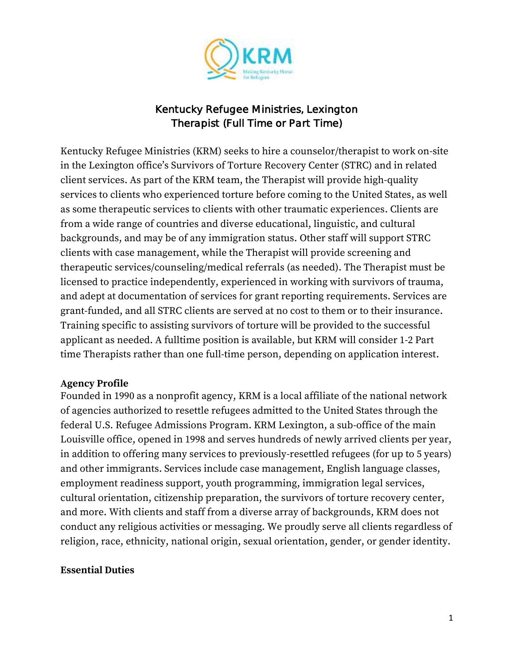

### Kentucky Refugee Ministries, Lexington Therapist (Full Time or Part Time)

Kentucky Refugee Ministries (KRM) seeks to hire a counselor/therapist to work on-site in the Lexington office's Survivors of Torture Recovery Center (STRC) and in related client services. As part of the KRM team, the Therapist will provide high-quality services to clients who experienced torture before coming to the United States, as well as some therapeutic services to clients with other traumatic experiences. Clients are from a wide range of countries and diverse educational, linguistic, and cultural backgrounds, and may be of any immigration status. Other staff will support STRC clients with case management, while the Therapist will provide screening and therapeutic services/counseling/medical referrals (as needed). The Therapist must be licensed to practice independently, experienced in working with survivors of trauma, and adept at documentation of services for grant reporting requirements. Services are grant-funded, and all STRC clients are served at no cost to them or to their insurance. Training specific to assisting survivors of torture will be provided to the successful applicant as needed. A fulltime position is available, but KRM will consider 1-2 Part time Therapists rather than one full-time person, depending on application interest.

#### **Agency Profile**

Founded in 1990 as a nonprofit agency, KRM is a local affiliate of the national network of agencies authorized to resettle refugees admitted to the United States through the federal U.S. Refugee Admissions Program. KRM Lexington, a sub-office of the main Louisville office, opened in 1998 and serves hundreds of newly arrived clients per year, in addition to offering many services to previously-resettled refugees (for up to 5 years) and other immigrants. Services include case management, English language classes, employment readiness support, youth programming, immigration legal services, cultural orientation, citizenship preparation, the survivors of torture recovery center, and more. With clients and staff from a diverse array of backgrounds, KRM does not conduct any religious activities or messaging. We proudly serve all clients regardless of religion, race, ethnicity, national origin, sexual orientation, gender, or gender identity.

#### **Essential Duties**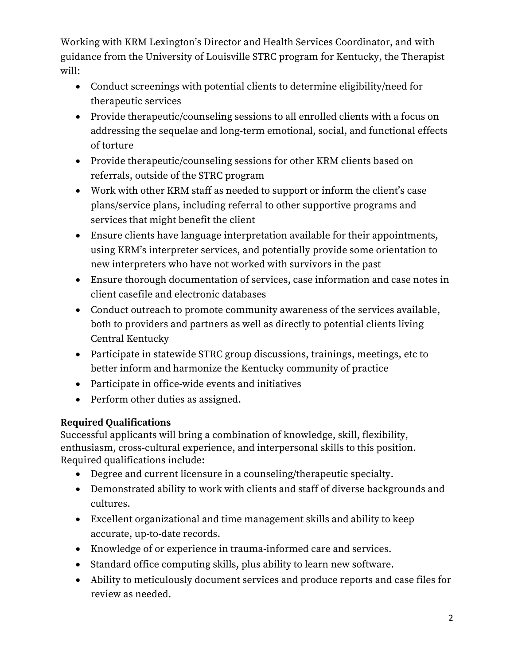Working with KRM Lexington's Director and Health Services Coordinator, and with guidance from the University of Louisville STRC program for Kentucky, the Therapist will:

- Conduct screenings with potential clients to determine eligibility/need for therapeutic services
- Provide therapeutic/counseling sessions to all enrolled clients with a focus on addressing the sequelae and long-term emotional, social, and functional effects of torture
- Provide therapeutic/counseling sessions for other KRM clients based on referrals, outside of the STRC program
- Work with other KRM staff as needed to support or inform the client's case plans/service plans, including referral to other supportive programs and services that might benefit the client
- Ensure clients have language interpretation available for their appointments, using KRM's interpreter services, and potentially provide some orientation to new interpreters who have not worked with survivors in the past
- Ensure thorough documentation of services, case information and case notes in client casefile and electronic databases
- Conduct outreach to promote community awareness of the services available, both to providers and partners as well as directly to potential clients living Central Kentucky
- Participate in statewide STRC group discussions, trainings, meetings, etc to better inform and harmonize the Kentucky community of practice
- Participate in office-wide events and initiatives
- Perform other duties as assigned.

# **Required Qualifications**

Successful applicants will bring a combination of knowledge, skill, flexibility, enthusiasm, cross-cultural experience, and interpersonal skills to this position. Required qualifications include:

- Degree and current licensure in a counseling/therapeutic specialty.
- Demonstrated ability to work with clients and staff of diverse backgrounds and cultures.
- Excellent organizational and time management skills and ability to keep accurate, up-to-date records.
- Knowledge of or experience in trauma-informed care and services.
- Standard office computing skills, plus ability to learn new software.
- Ability to meticulously document services and produce reports and case files for review as needed.